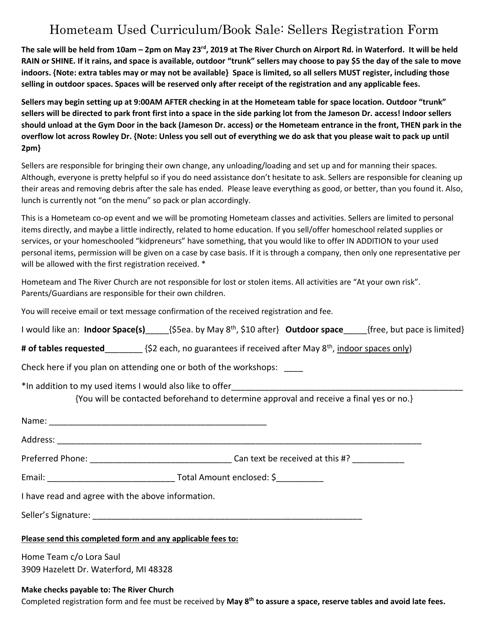## Hometeam Used Curriculum/Book Sale: Sellers Registration Form

**The sale will be held from 10am – 2pm on May 23rd, 2019 at The River Church on Airport Rd. in Waterford. It will be held RAIN or SHINE. If it rains, and space is available, outdoor "trunk" sellers may choose to pay \$5 the day of the sale to move indoors. {Note: extra tables may or may not be available} Space is limited, so all sellers MUST register, including those selling in outdoor spaces. Spaces will be reserved only after receipt of the registration and any applicable fees.** 

**Sellers may begin setting up at 9:00AM AFTER checking in at the Hometeam table for space location. Outdoor "trunk" sellers will be directed to park front first into a space in the side parking lot from the Jameson Dr. access! Indoor sellers should unload at the Gym Door in the back (Jameson Dr. access) or the Hometeam entrance in the front, THEN park in the overflow lot across Rowley Dr. {Note: Unless you sell out of everything we do ask that you please wait to pack up until 2pm}**

Sellers are responsible for bringing their own change, any unloading/loading and set up and for manning their spaces. Although, everyone is pretty helpful so if you do need assistance don't hesitate to ask. Sellers are responsible for cleaning up their areas and removing debris after the sale has ended. Please leave everything as good, or better, than you found it. Also, lunch is currently not "on the menu" so pack or plan accordingly.

This is a Hometeam co-op event and we will be promoting Hometeam classes and activities. Sellers are limited to personal items directly, and maybe a little indirectly, related to home education. If you sell/offer homeschool related supplies or services, or your homeschooled "kidpreneurs" have something, that you would like to offer IN ADDITION to your used personal items, permission will be given on a case by case basis. If it is through a company, then only one representative per will be allowed with the first registration received. \*

Hometeam and The River Church are not responsible for lost or stolen items. All activities are "At your own risk". Parents/Guardians are responsible for their own children.

You will receive email or text message confirmation of the received registration and fee.

| I would like an: Indoor Space(s) $\frac{5}{5}$ ea. by May 8 <sup>th</sup> , \$10 after} Outdoor space [free, but pace is limited} |
|-----------------------------------------------------------------------------------------------------------------------------------|
| # of tables requested__________ {\$2 each, no guarantees if received after May 8 <sup>th</sup> , indoor spaces only)              |
| Check here if you plan on attending one or both of the workshops:                                                                 |
| {You will be contacted beforehand to determine approval and receive a final yes or no.}                                           |
|                                                                                                                                   |
|                                                                                                                                   |
|                                                                                                                                   |
|                                                                                                                                   |
| I have read and agree with the above information.                                                                                 |
|                                                                                                                                   |
| Please send this completed form and any applicable fees to:                                                                       |
| Home Team c/o Lora Saul<br>3909 Hazelett Dr. Waterford, MI 48328                                                                  |

## **Make checks payable to: The River Church**

Completed registration form and fee must be received by **May 8th to assure a space, reserve tables and avoid late fees.**